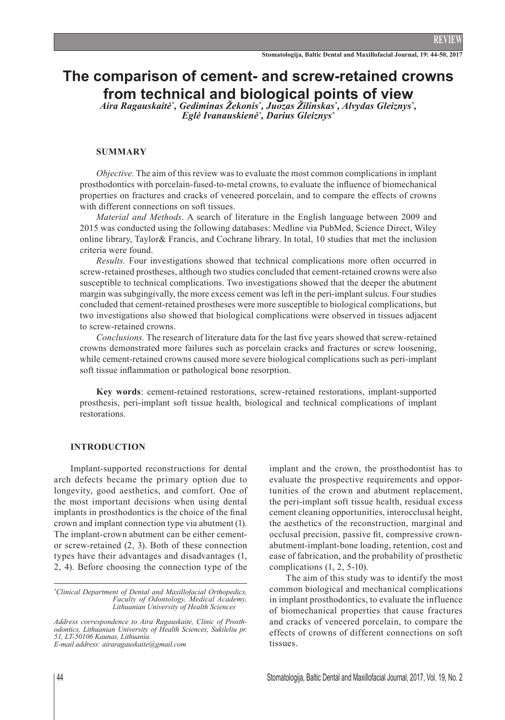# **The comparison of cement- and screw-retained crowns from technical and biological points of view**

*Aira Ragauskaitė\* , Gediminas Žekonis\* , Juozas Žilinskas\* , Alvydas Gleiznys\* , Eglė Ivanauskienė\* , Darius Gleiznys\**

## **Summary**

*Objective.* The aim of this review was to evaluate the most common complications in implant prosthodontics with porcelain-fused-to-metal crowns, to evaluate the influence of biomechanical properties on fractures and cracks of veneered porcelain, and to compare the effects of crowns with different connections on soft tissues.

*Material and Methods*. A search of literature in the English language between 2009 and 2015 was conducted using the following databases: Medline via PubMed, Science Direct, Wiley online library, Taylor& Francis, and Cochrane library. In total, 10 studies that met the inclusion criteria were found.

*Results.* Four investigations showed that technical complications more often occurred in screw-retained prostheses, although two studies concluded that cement-retained crowns were also susceptible to technical complications. Two investigations showed that the deeper the abutment margin was subgingivally, the more excess cement was left in the peri-implant sulcus. Four studies concluded that cement-retained prostheses were more susceptible to biological complications, but two investigations also showed that biological complications were observed in tissues adjacent to screw-retained crowns.

*Conclusions.* The research of literature data for the last five years showed that screw-retained crowns demonstrated more failures such as porcelain cracks and fractures or screw loosening, while cement-retained crowns caused more severe biological complications such as peri-implant soft tissue inflammation or pathological bone resorption.

**Key words**: cement-retained restorations, screw-retained restorations, implant-supported prosthesis, peri-implant soft tissue health, biological and technical complications of implant restorations.

#### **INTRODUCTION**

Implant-supported reconstructions for dental arch defects became the primary option due to longevity, good aesthetics, and comfort. One of the most important decisions when using dental implants in prosthodontics is the choice of the final crown and implant connection type via abutment (1). The implant-crown abutment can be either cementor screw-retained (2, 3). Both of these connection types have their advantages and disadvantages (1, 2, 4). Before choosing the connection type of the

*E-mail address: airaragauskaite@gmail.com*

implant and the crown, the prosthodontist has to evaluate the prospective requirements and opportunities of the crown and abutment replacement, the peri-implant soft tissue health, residual excess cement cleaning opportunities, interocclusal height, the aesthetics of the reconstruction, marginal and occlusal precision, passive fit, compressive crownabutment-implant-bone loading, retention, cost and ease of fabrication, and the probability of prosthetic complications (1, 2, 5-10).

The aim of this study was to identify the most common biological and mechanical complications in implant prosthodontics, to evaluate the influence of biomechanical properties that cause fractures and cracks of veneered porcelain, to compare the effects of crowns of different connections on soft tissues.

*<sup>\*</sup> Clinical Department of Dental and Maxillofacial Orthopedics, Faculty of Odontology, Medical Academy, Lithuanian University of Health Sciences*

*Address correspondence to Aira Ragauskaitė, Clinic of Prosthodontics, Lithuanian University of Health Sciences, Sukileliu pr. 51, LT-50106 Kaunas, Lithuania.*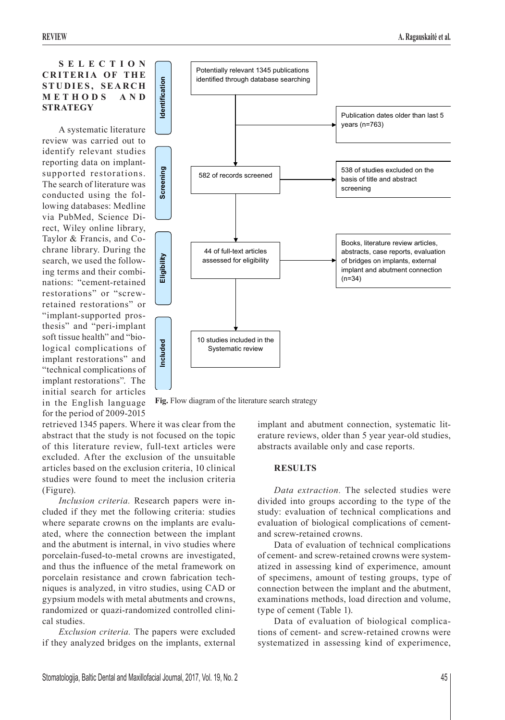**S E L E C T I O N CRITERIA OF THE STUDIES, SEARCH M E T H O D S A N D STRATEGY**

A systematic literature review was carried out to identify relevant studies reporting data on implantsupported restorations. The search of literature was conducted using the following databases: Medline via PubMed, Science Direct, Wiley online library, Taylor & Francis, and Cochrane library. During the search, we used the following terms and their combinations: "cement-retained restorations" or "screwretained restorations" or "implant-supported prosthesis" and "peri-implant soft tissue health" and "biological complications of implant restorations" and "technical complications of implant restorations". The initial search for articles in the English language for the period of 2009-2015



retrieved 1345 papers. Where it was clear from the abstract that the study is not focused on the topic of this literature review, full-text articles were excluded. After the exclusion of the unsuitable articles based on the exclusion criteria, 10 clinical studies were found to meet the inclusion criteria (Figure).

*Inclusion criteria.* Research papers were included if they met the following criteria: studies where separate crowns on the implants are evaluated, where the connection between the implant and the abutment is internal, in vivo studies where porcelain-fused-to-metal crowns are investigated, and thus the influence of the metal framework on porcelain resistance and crown fabrication techniques is analyzed, in vitro studies, using CAD or gypsium models with metal abutments and crowns, randomized or quazi-randomized controlled clinical studies.

*Exclusion criteria.* The papers were excluded if they analyzed bridges on the implants, external implant and abutment connection, systematic literature reviews, older than 5 year year-old studies, abstracts available only and case reports.

## **RESULTS**

*Data extraction.* The selected studies were divided into groups according to the type of the study: evaluation of technical complications and evaluation of biological complications of cementand screw-retained crowns.

Data of evaluation of technical complications of cement- and screw-retained crowns were systematized in assessing kind of experimence, amount of specimens, amount of testing groups, type of connection between the implant and the abutment, examinations methods, load direction and volume, type of cement (Table 1).

Data of evaluation of biological complications of cement- and screw-retained crowns were systematized in assessing kind of experimence,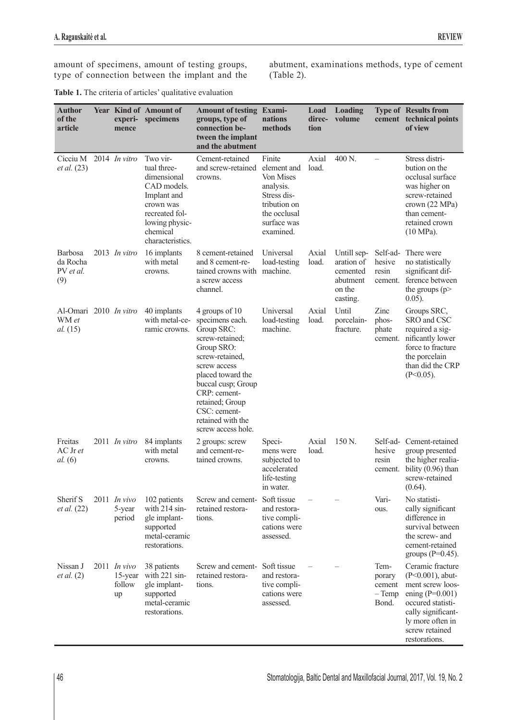amount of specimens, amount of testing groups, type of connection between the implant and the abutment, examinations methods, type of cement (Table 2).

| Table 1. The criteria of articles' qualitative evaluation |  |
|-----------------------------------------------------------|--|
|-----------------------------------------------------------|--|

| <b>Author</b><br>of the<br>article                 | mence                                     | <b>Year Kind of Amount of</b><br>experi- specimens                                                                                                    | <b>Amount of testing Exami-</b><br>groups, type of<br>connection be-<br>tween the implant<br>and the abutment                                                                                                                                                | nations<br>methods                                                                                                         | Load<br>direc-<br>tion | Loading<br>volume                                                       |                                               | <b>Type of Results from</b><br>cement technical points<br>of view                                                                                                                  |
|----------------------------------------------------|-------------------------------------------|-------------------------------------------------------------------------------------------------------------------------------------------------------|--------------------------------------------------------------------------------------------------------------------------------------------------------------------------------------------------------------------------------------------------------------|----------------------------------------------------------------------------------------------------------------------------|------------------------|-------------------------------------------------------------------------|-----------------------------------------------|------------------------------------------------------------------------------------------------------------------------------------------------------------------------------------|
| Cicciu M<br><i>et al.</i> (23)                     | $2014$ In vitro                           | Two vir-<br>tual three-<br>dimensional<br>CAD models.<br>Implant and<br>crown was<br>recreated fol-<br>lowing physic-<br>chemical<br>characteristics. | Cement-retained<br>and screw-retained<br>crowns.                                                                                                                                                                                                             | Finite<br>element and<br>Von Mises<br>analysis.<br>Stress dis-<br>tribution on<br>the occlusal<br>surface was<br>examined. | Axial<br>load.         | 400 N.                                                                  |                                               | Stress distri-<br>bution on the<br>occlusal surface<br>was higher on<br>screw-retained<br>crown (22 MPa)<br>than cement-<br>retained crown<br>$(10 MPa)$ .                         |
| <b>Barbosa</b><br>da Rocha<br>PV et al.<br>(9)     | 2013 In vitro                             | 16 implants<br>with metal<br>crowns.                                                                                                                  | 8 cement-retained<br>and 8 cement-re-<br>tained crowns with machine.<br>a screw access<br>channel.                                                                                                                                                           | Universal<br>load-testing                                                                                                  | Axial<br>load.         | Untill sep-<br>aration of<br>cemented<br>abutment<br>on the<br>casting. | Self-ad-<br>hesive<br>resin<br>cement.        | There were<br>no statistically<br>significant dif-<br>ference between<br>the groups ( $p$ ><br>$0.05$ ).                                                                           |
| Al-Omari 2010 <i>In vitro</i><br>WM et<br>al. (15) |                                           | 40 implants<br>with metal-ce-<br>ramic crowns.                                                                                                        | 4 groups of 10<br>specimens each.<br>Group SRC:<br>screw-retained;<br>Group SRO:<br>screw-retained.<br>screw access<br>placed toward the<br>buccal cusp; Group<br>CRP: cement-<br>retained; Group<br>CSC: cement-<br>retained with the<br>screw access hole. | Universal<br>load-testing<br>machine.                                                                                      | Axial<br>load.         | Until<br>porcelain-<br>fracture.                                        | Zinc<br>phos-<br>phate<br>cement.             | Groups SRC,<br>SRO and CSC<br>required a sig-<br>nificantly lower<br>force to fracture<br>the porcelain<br>than did the CRP<br>$(P<0.05)$ .                                        |
| Freitas<br>AC Jr et<br><i>al.</i> $(6)$            | 2011 In vitro                             | 84 implants<br>with metal<br>crowns.                                                                                                                  | 2 groups: screw<br>and cement-re-<br>tained crowns.                                                                                                                                                                                                          | Speci-<br>mens were<br>subjected to<br>accelerated<br>life-testing<br>in water.                                            | Axial<br>load.         | 150 N.                                                                  | Self-ad-<br>hesive<br>resin<br>cement.        | Cement-retained<br>group presented<br>the higher realia-<br>bility $(0.96)$ than<br>screw-retained<br>$(0.64)$ .                                                                   |
| Sherif S<br><i>et al.</i> (22)                     | $2011$ In vivo<br>5-year<br>period        | 102 patients<br>with 214 sin-<br>gle implant-<br>supported<br>metal-ceramic<br>restorations.                                                          | Screw and cement-<br>retained restora-<br>tions.                                                                                                                                                                                                             | Soft tissue<br>and restora-<br>tive compli-<br>cations were<br>assessed.                                                   |                        |                                                                         | Vari-<br>ous.                                 | No statisti-<br>cally significant<br>difference in<br>survival between<br>the screw- and<br>cement-retained<br>groups $(P=0.45)$ .                                                 |
| Nissan J<br>et al. (2)                             | $2011$ In vivo<br>15-year<br>follow<br>up | 38 patients<br>with 221 sin-<br>gle implant-<br>supported<br>metal-ceramic<br>restorations.                                                           | Screw and cement-<br>retained restora-<br>tions.                                                                                                                                                                                                             | Soft tissue<br>and restora-<br>tive compli-<br>cations were<br>assessed.                                                   |                        |                                                                         | Tem-<br>porary<br>cement<br>$-$ Temp<br>Bond. | Ceramic fracture<br>$(P<0.001)$ , abut-<br>ment screw loos-<br>ening $(P=0.001)$<br>occured statisti-<br>cally significant-<br>ly more often in<br>screw retained<br>restorations. |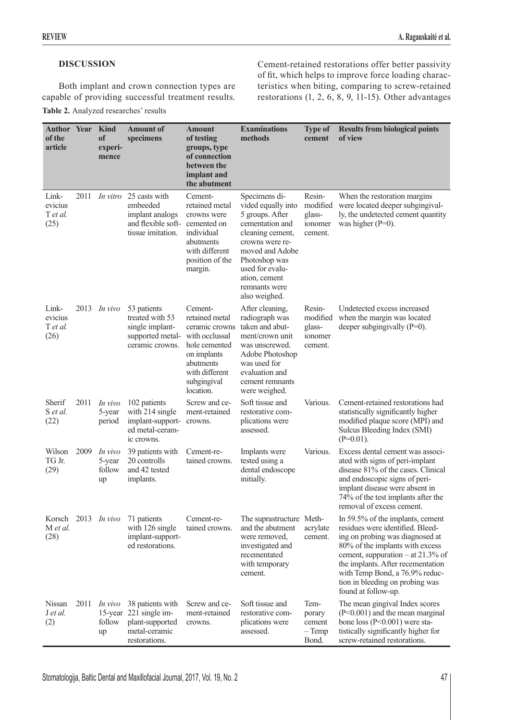# **DISCUSSION**

Both implant and crown connection types are capable of providing successful treatment results.

## **Table 2.** Analyzed researches' results

Cement-retained restorations offer better passivity of fit, which helps to improve force loading characteristics when biting, comparing to screw-retained restorations (1, 2, 6, 8, 9, 11-15). Other advantages

| <b>Author Year Kind</b><br>of the<br>article |      | of<br>experi-<br>mence            | <b>Amount of</b><br>specimens                                                                           | <b>Amount</b><br>of testing<br>groups, type<br>of connection<br>between the<br>implant and<br>the abutment                                               | <b>Examinations</b><br>methods                                                                                                                                                                                             | <b>Type of</b><br>cement                           | <b>Results from biological points</b><br>of view                                                                                                                                                                                                                                                                 |
|----------------------------------------------|------|-----------------------------------|---------------------------------------------------------------------------------------------------------|----------------------------------------------------------------------------------------------------------------------------------------------------------|----------------------------------------------------------------------------------------------------------------------------------------------------------------------------------------------------------------------------|----------------------------------------------------|------------------------------------------------------------------------------------------------------------------------------------------------------------------------------------------------------------------------------------------------------------------------------------------------------------------|
| Link-<br>evicius<br>T et al.<br>(25)         | 2011 |                                   | <i>In vitro</i> 25 casts with<br>embeeded<br>implant analogs<br>and flexible soft-<br>tissue imitation. | Cement-<br>retained metal<br>crowns were<br>cemented on<br>individual<br>abutments<br>with different<br>position of the<br>margin.                       | Specimens di-<br>vided equally into<br>5 groups. After<br>cementation and<br>cleaning cement,<br>crowns were re-<br>moved and Adobe<br>Photoshop was<br>used for evalu-<br>ation, cement<br>remnants were<br>also weighed. | Resin-<br>modified<br>glass-<br>ionomer<br>cement. | When the restoration margins<br>were located deeper subgingival-<br>ly, the undetected cement quantity<br>was higher $(P=0)$ .                                                                                                                                                                                   |
| Link-<br>evicius<br>T et al.<br>(26)         |      | 2013 <i>In vivo</i>               | 53 patients<br>treated with 53<br>single implant-<br>supported metal-<br>ceramic crowns.                | Cement-<br>retained metal<br>ceramic crowns<br>with occlussal<br>hole cemented<br>on implants<br>abutments<br>with different<br>subgingival<br>location. | After cleaning,<br>radiograph was<br>taken and abut-<br>ment/crown unit<br>was unscrewed.<br>Adobe Photoshop<br>was used for<br>evaluation and<br>cement remnants<br>were weighed.                                         | Resin-<br>modified<br>glass-<br>ionomer<br>cement. | Undetected excess increased<br>when the margin was located<br>deeper subgingivally $(P=0)$ .                                                                                                                                                                                                                     |
| Sherif<br>S et al.<br>(22)                   | 2011 | In vivo<br>5-year<br>period       | 102 patients<br>with 214 single<br>implant-support-<br>ed metal-ceram-<br>ic crowns.                    | Screw and ce-<br>ment-retained<br>crowns.                                                                                                                | Soft tissue and<br>restorative com-<br>plications were<br>assessed.                                                                                                                                                        | Various.                                           | Cement-retained restorations had<br>statistically significantly higher<br>modified plaque score (MPI) and<br>Sulcus Bleeding Index (SMI)<br>$(P=0.01)$ .                                                                                                                                                         |
| Wilson<br>TG Jr.<br>(29)                     | 2009 | In vivo<br>5-year<br>follow<br>up | 39 patients with<br>20 controlls<br>and 42 tested<br>implants.                                          | Cement-re-<br>tained crowns.                                                                                                                             | Implants were<br>tested using a<br>dental endoscope<br>initially.                                                                                                                                                          | Various.                                           | Excess dental cement was associ-<br>ated with signs of peri-implant<br>disease 81% of the cases. Clinical<br>and endoscopic signs of peri-<br>implant disease were absent in<br>74% of the test implants after the<br>removal of excess cement.                                                                  |
| Korsch<br>M et al.<br>(28)                   |      | 2013 In vivo                      | 71 patients<br>with 126 single<br>implant-support-<br>ed restorations.                                  | Cement-re-<br>tained crowns.                                                                                                                             | The suprastructure Meth-<br>and the abutment<br>were removed,<br>investigated and<br>recementated<br>with temporary<br>cement.                                                                                             | acrylate<br>cement.                                | In 59.5% of the implants, cement<br>residues were identified. Bleed-<br>ing on probing was diagnosed at<br>80% of the implants with excess<br>cement, suppuration - at 21.3% of<br>the implants. After recementation<br>with Temp Bond, a 76.9% reduc-<br>tion in bleeding on probing was<br>found at follow-up. |
| Nissan<br>J et al.<br>(2)                    | 2011 | In vivo<br>follow<br>up           | 38 patients with<br>15-year 221 single im-<br>plant-supported<br>metal-ceramic<br>restorations.         | Screw and ce-<br>ment-retained<br>crowns.                                                                                                                | Soft tissue and<br>restorative com-<br>plications were<br>assessed.                                                                                                                                                        | Tem-<br>porary<br>cement<br>$-$ Temp<br>Bond.      | The mean gingival Index scores<br>$(P<0.001)$ and the mean marginal<br>bone loss $(P<0.001)$ were sta-<br>tistically significantly higher for<br>screw-retained restorations.                                                                                                                                    |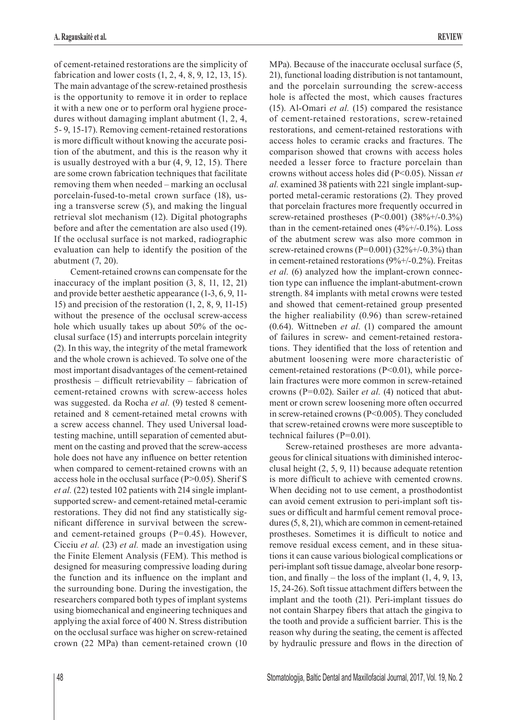of cement-retained restorations are the simplicity of fabrication and lower costs (1, 2, 4, 8, 9, 12, 13, 15). The main advantage of the screw-retained prosthesis is the opportunity to remove it in order to replace it with a new one or to perform oral hygiene procedures without damaging implant abutment (1, 2, 4, 5- 9, 15-17). Removing cement-retained restorations is more difficult without knowing the accurate position of the abutment, and this is the reason why it is usually destroyed with a bur (4, 9, 12, 15). There are some crown fabrication techniques that facilitate removing them when needed – marking an occlusal porcelain-fused-to-metal crown surface (18), using a transverse screw (5), and making the lingual retrieval slot mechanism (12). Digital photographs before and after the cementation are also used (19). If the occlusal surface is not marked, radiographic evaluation can help to identify the position of the abutment (7, 20).

Cement-retained crowns can compensate for the inaccuracy of the implant position (3, 8, 11, 12, 21) and provide better aesthetic appearance (1-3, 6, 9, 11- 15) and precision of the restoration (1, 2, 8, 9, 11-15) without the presence of the occlusal screw-access hole which usually takes up about 50% of the occlusal surface (15) and interrupts porcelain integrity (2). In this way, the integrity of the metal framework and the whole crown is achieved. To solve one of the most important disadvantages of the cement-retained prosthesis – difficult retrievability – fabrication of cement-retained crowns with screw-access holes was suggested. da Rocha *et al.* (9) tested 8 cementretained and 8 cement-retained metal crowns with a screw access channel. They used Universal loadtesting machine, untill separation of cemented abutment on the casting and proved that the screw-access hole does not have any influence on better retention when compared to cement-retained crowns with an access hole in the occlusal surface (P>0.05). Sherif S *et al.* (22) tested 102 patients with 214 single implantsupported screw- and cement-retained metal-ceramic restorations. They did not find any statistically significant difference in survival between the screwand cement-retained groups  $(P=0.45)$ . However, Cicciu *et al.* (23) *et al.* made an investigation using the Finite Element Analysis (FEM). This method is designed for measuring compressive loading during the function and its influence on the implant and the surrounding bone. During the investigation, the researchers compared both types of implant systems using biomechanical and engineering techniques and applying the axial force of 400 N. Stress distribution on the occlusal surface was higher on screw-retained crown (22 MPa) than cement-retained crown (10

MPa). Because of the inaccurate occlusal surface (5, 21), functional loading distribution is not tantamount, and the porcelain surrounding the screw-access hole is affected the most, which causes fractures (15). Al-Omari *et al.* (15) compared the resistance of cement-retained restorations, screw-retained restorations, and cement-retained restorations with access holes to ceramic cracks and fractures. The comparison showed that crowns with access holes needed a lesser force to fracture porcelain than crowns without access holes did (P<0.05). Nissan *et al.* examined 38 patients with 221 single implant-supported metal-ceramic restorations (2). They proved that porcelain fractures more frequently occurred in screw-retained prostheses (P<0.001) (38%+/-0.3%) than in the cement-retained ones  $(4\% +/-0.1\%)$ . Loss of the abutment screw was also more common in screw-retained crowns (P=0.001) (32%+/-0.3%) than in cement-retained restorations (9%+/-0.2%). Freitas *et al.* (6) analyzed how the implant-crown connection type can influence the implant-abutment-crown strength. 84 implants with metal crowns were tested and showed that cement-retained group presented the higher realiability (0.96) than screw-retained (0.64). Wittneben *et al.* (1) compared the amount of failures in screw- and cement-retained restorations. They identified that the loss of retention and abutment loosening were more characteristic of cement-retained restorations  $(P<0.01)$ , while porcelain fractures were more common in screw-retained crowns (P=0.02). Sailer *et al.* (4) noticed that abutment or crown screw loosening more often occurred in screw-retained crowns (P<0.005). They concluded that screw-retained crowns were more susceptible to technical failures (P=0.01).

Screw-retained prostheses are more advantageous for clinical situations with diminished interocclusal height (2, 5, 9, 11) because adequate retention is more difficult to achieve with cemented crowns. When deciding not to use cement, a prosthodontist can avoid cement extrusion to peri-implant soft tissues or difficult and harmful cement removal procedures (5, 8, 21), which are common in cement-retained prostheses. Sometimes it is difficult to notice and remove residual excess cement, and in these situations it can cause various biological complications or peri-implant soft tissue damage, alveolar bone resorption, and finally – the loss of the implant  $(1, 4, 9, 13, 1)$ 15, 24-26). Soft tissue attachment differs between the implant and the tooth (21). Peri-implant tissues do not contain Sharpey fibers that attach the gingiva to the tooth and provide a sufficient barrier. This is the reason why during the seating, the cement is affected by hydraulic pressure and flows in the direction of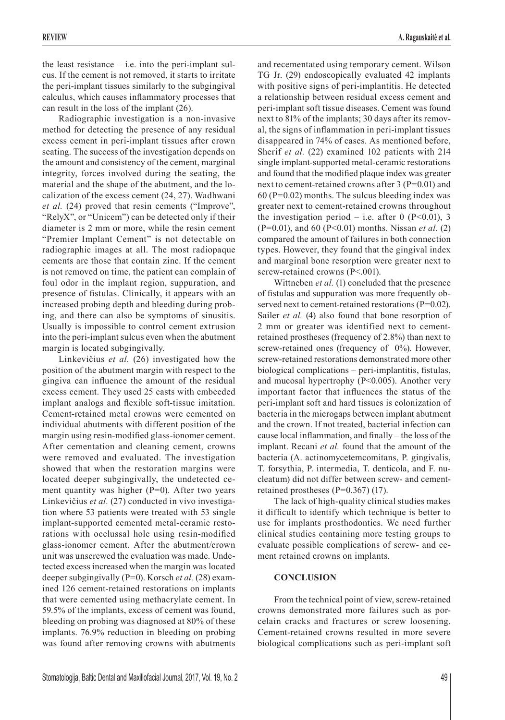the least resistance  $-$  i.e. into the peri-implant sulcus. If the cement is not removed, it starts to irritate the peri-implant tissues similarly to the subgingival calculus, which causes inflammatory processes that can result in the loss of the implant (26).

Radiographic investigation is a non-invasive method for detecting the presence of any residual excess cement in peri-implant tissues after crown seating. The success of the investigation depends on the amount and consistency of the cement, marginal integrity, forces involved during the seating, the material and the shape of the abutment, and the localization of the excess cement (24, 27). Wadhwani *et al.* (24) proved that resin cements ("Improve", "RelyX", or "Unicem") can be detected only if their diameter is 2 mm or more, while the resin cement "Premier Implant Cement" is not detectable on radiographic images at all. The most radiopaque cements are those that contain zinc. If the cement is not removed on time, the patient can complain of foul odor in the implant region, suppuration, and presence of fistulas. Clinically, it appears with an increased probing depth and bleeding during probing, and there can also be symptoms of sinusitis. Usually is impossible to control cement extrusion into the peri-implant sulcus even when the abutment margin is located subgingivally.

Linkevičius *et al.* (26) investigated how the position of the abutment margin with respect to the gingiva can influence the amount of the residual excess cement. They used 25 casts with embeeded implant analogs and flexible soft-tissue imitation. Cement-retained metal crowns were cemented on individual abutments with different position of the margin using resin-modified glass-ionomer cement. After cementation and cleaning cement, crowns were removed and evaluated. The investigation showed that when the restoration margins were located deeper subgingivally, the undetected cement quantity was higher (P=0). After two years Linkevičius *et al.* (27) conducted in vivo investigation where 53 patients were treated with 53 single implant-supported cemented metal-ceramic restorations with occlussal hole using resin-modified glass-ionomer cement. After the abutment/crown unit was unscrewed the evaluation was made. Undetected excess increased when the margin was located deeper subgingivally (P=0). Korsch *et al.* (28) examined 126 cement-retained restorations on implants that were cemented using methacrylate cement. In 59.5% of the implants, excess of cement was found, bleeding on probing was diagnosed at 80% of these implants. 76.9% reduction in bleeding on probing was found after removing crowns with abutments and recementated using temporary cement. Wilson TG Jr. (29) endoscopically evaluated 42 implants with positive signs of peri-implantitis. He detected a relationship between residual excess cement and peri-implant soft tissue diseases. Cement was found next to 81% of the implants; 30 days after its removal, the signs of inflammation in peri-implant tissues disappeared in 74% of cases. As mentioned before, Sherif *et al.* (22) examined 102 patients with 214 single implant-supported metal-ceramic restorations and found that the modified plaque index was greater next to cement-retained crowns after 3 (P=0.01) and  $60$  (P=0.02) months. The sulcus bleeding index was greater next to cement-retained crowns throughout the investigation period – i.e. after 0 ( $P<0.01$ ), 3 (P=0.01), and 60 (P<0.01) months. Nissan *et al.* (2) compared the amount of failures in both connection types. However, they found that the gingival index and marginal bone resorption were greater next to screw-retained crowns (P<.001).

Wittneben *et al.* (1) concluded that the presence of fistulas and suppuration was more frequently observed next to cement-retained restorations (P=0.02). Sailer *et al.* (4) also found that bone resorption of 2 mm or greater was identified next to cementretained prostheses (frequency of 2.8%) than next to screw-retained ones (frequency of 0%). However, screw-retained restorations demonstrated more other biological complications – peri-implantitis, fistulas, and mucosal hypertrophy  $(P<0.005)$ . Another very important factor that influences the status of the peri-implant soft and hard tissues is colonization of bacteria in the microgaps between implant abutment and the crown. If not treated, bacterial infection can cause local inflammation, and finally – the loss of the implant. Recani *et al.* found that the amount of the bacteria (A. actinomycetemcomitans, P. gingivalis, T. forsythia, P. intermedia, T. denticola, and F. nucleatum) did not differ between screw- and cementretained prostheses (P=0.367) (17).

The lack of high-quality clinical studies makes it difficult to identify which technique is better to use for implants prosthodontics. We need further clinical studies containing more testing groups to evaluate possible complications of screw- and cement retained crowns on implants.

## **CONCLUSION**

From the technical point of view, screw-retained crowns demonstrated more failures such as porcelain cracks and fractures or screw loosening. Cement-retained crowns resulted in more severe biological complications such as peri-implant soft